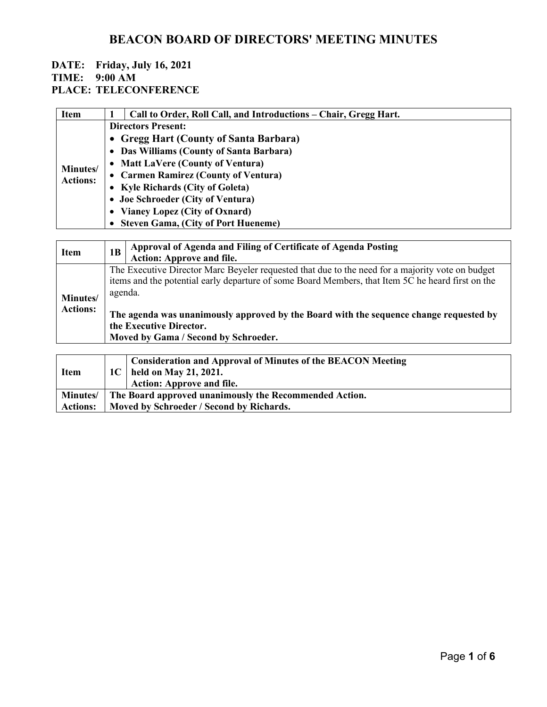| <b>Item</b>                 | Call to Order, Roll Call, and Introductions – Chair, Gregg Hart. |  |  |
|-----------------------------|------------------------------------------------------------------|--|--|
| Minutes/<br><b>Actions:</b> | <b>Directors Present:</b>                                        |  |  |
|                             | • Gregg Hart (County of Santa Barbara)                           |  |  |
|                             | • Das Williams (County of Santa Barbara)                         |  |  |
|                             | • Matt LaVere (County of Ventura)                                |  |  |
|                             | • Carmen Ramirez (County of Ventura)                             |  |  |
|                             | • Kyle Richards (City of Goleta)                                 |  |  |
|                             | • Joe Schroeder (City of Ventura)                                |  |  |
|                             | • Vianey Lopez (City of Oxnard)                                  |  |  |
|                             | • Steven Gama, (City of Port Hueneme)                            |  |  |

| <b>Item</b>                 | 1 <sub>B</sub>                                                                                                                                                                                                                                                                                                                                                                | Approval of Agenda and Filing of Certificate of Agenda Posting<br><b>Action: Approve and file.</b> |
|-----------------------------|-------------------------------------------------------------------------------------------------------------------------------------------------------------------------------------------------------------------------------------------------------------------------------------------------------------------------------------------------------------------------------|----------------------------------------------------------------------------------------------------|
| Minutes/<br><b>Actions:</b> | The Executive Director Marc Beyeler requested that due to the need for a majority vote on budget<br>items and the potential early departure of some Board Members, that Item 5C he heard first on the<br>agenda.<br>The agenda was unanimously approved by the Board with the sequence change requested by<br>the Executive Director.<br>Moved by Gama / Second by Schroeder. |                                                                                                    |
| <b>Item</b>                 | 1C                                                                                                                                                                                                                                                                                                                                                                            | <b>Consideration and Approval of Minutes of the BEACON Meeting</b><br>held on May 21, 2021.        |

| пеш             | $1 \cup$   Heru on May 21, 2021.                                |
|-----------------|-----------------------------------------------------------------|
|                 | <b>Action: Approve and file.</b>                                |
|                 | Minutes/ The Board approved unanimously the Recommended Action. |
| <b>Actions:</b> | Moved by Schroeder / Second by Richards.                        |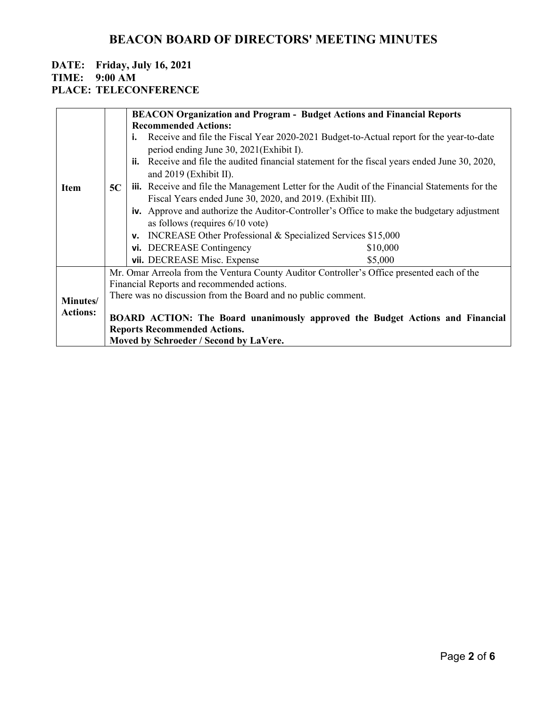### **DATE: Friday, July 16, 2021**

**TIME: 9:00 AM**

### **PLACE: TELECONFERENCE**

|                 |                                                               | <b>BEACON Organization and Program - Budget Actions and Financial Reports</b>                        |  |  |  |
|-----------------|---------------------------------------------------------------|------------------------------------------------------------------------------------------------------|--|--|--|
|                 |                                                               | <b>Recommended Actions:</b>                                                                          |  |  |  |
|                 |                                                               | Receive and file the Fiscal Year 2020-2021 Budget-to-Actual report for the year-to-date              |  |  |  |
|                 |                                                               | period ending June 30, 2021(Exhibit I).                                                              |  |  |  |
|                 |                                                               | ii. Receive and file the audited financial statement for the fiscal years ended June 30, 2020,       |  |  |  |
|                 |                                                               | and $2019$ (Exhibit II).                                                                             |  |  |  |
| <b>Item</b>     | 5C                                                            | <b>iii.</b> Receive and file the Management Letter for the Audit of the Financial Statements for the |  |  |  |
|                 |                                                               | Fiscal Years ended June 30, 2020, and 2019. (Exhibit III).                                           |  |  |  |
|                 |                                                               | iv. Approve and authorize the Auditor-Controller's Office to make the budgetary adjustment           |  |  |  |
|                 |                                                               | as follows (requires $6/10$ vote)                                                                    |  |  |  |
|                 |                                                               | v. INCREASE Other Professional & Specialized Services \$15,000                                       |  |  |  |
|                 |                                                               | vi. DECREASE Contingency<br>\$10,000                                                                 |  |  |  |
|                 |                                                               | vii. DECREASE Misc. Expense<br>\$5,000                                                               |  |  |  |
|                 |                                                               | Mr. Omar Arreola from the Ventura County Auditor Controller's Office presented each of the           |  |  |  |
| Minutes/        | Financial Reports and recommended actions.                    |                                                                                                      |  |  |  |
|                 | There was no discussion from the Board and no public comment. |                                                                                                      |  |  |  |
| <b>Actions:</b> |                                                               |                                                                                                      |  |  |  |
|                 |                                                               | BOARD ACTION: The Board unanimously approved the Budget Actions and Financial                        |  |  |  |
|                 |                                                               | <b>Reports Recommended Actions.</b>                                                                  |  |  |  |
|                 |                                                               | Moved by Schroeder / Second by LaVere.                                                               |  |  |  |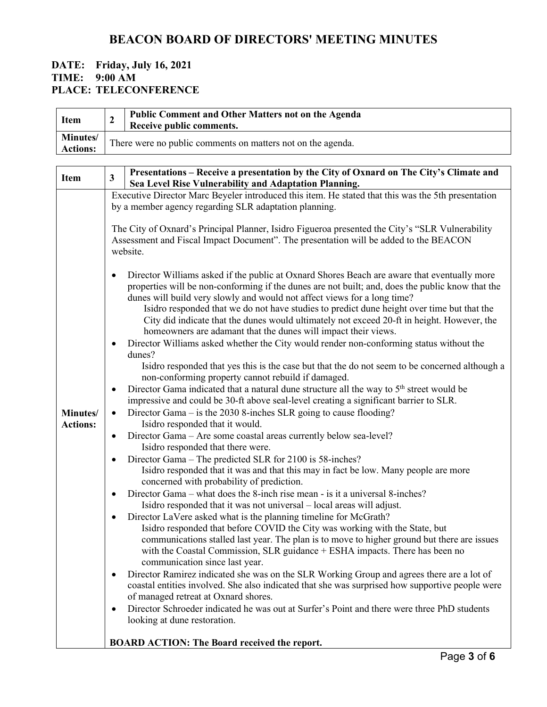| Minutes/<br>There were no public comments on matters not on the agenda.<br><b>Actions:</b><br>$\overline{\mathbf{3}}$<br><b>Item</b><br>Sea Level Rise Vulnerability and Adaptation Planning.<br>Executive Director Marc Beyeler introduced this item. He stated that this was the 5th presentation<br>by a member agency regarding SLR adaptation planning.<br>The City of Oxnard's Principal Planner, Isidro Figueroa presented the City's "SLR Vulnerability<br>Assessment and Fiscal Impact Document". The presentation will be added to the BEACON<br>website.<br>dunes will build very slowly and would not affect views for a long time?<br>homeowners are adamant that the dunes will impact their views.<br>Director Williams asked whether the City would render non-conforming status without the<br>dunes?<br>non-conforming property cannot rebuild if damaged.<br>Director Gama indicated that a natural dune structure all the way to 5 <sup>th</sup> street would be<br>impressive and could be 30-ft above seal-level creating a significant barrier to SLR.<br>Director Gama – is the 2030 8-inches SLR going to cause flooding?<br>Minutes/<br>Isidro responded that it would.<br><b>Actions:</b><br>Director Gama – Are some coastal areas currently below sea-level?<br>$\bullet$<br>Isidro responded that there were.<br>Director Gama – The predicted SLR for 2100 is 58-inches?<br>Isidro responded that it was and that this may in fact be low. Many people are more<br>concerned with probability of prediction.<br>Director Gama – what does the 8-inch rise mean - is it a universal 8-inches?<br>Isidro responded that it was not universal – local areas will adjust.<br>Director LaVere asked what is the planning timeline for McGrath?<br>$\bullet$ | <b>Item</b> | $\overline{2}$ | Public Comment and Other Matters not on the Agenda<br>Receive public comments.                                                                                                                                                                                                                                                                                                                                                                                                                                                                                              |  |  |
|---------------------------------------------------------------------------------------------------------------------------------------------------------------------------------------------------------------------------------------------------------------------------------------------------------------------------------------------------------------------------------------------------------------------------------------------------------------------------------------------------------------------------------------------------------------------------------------------------------------------------------------------------------------------------------------------------------------------------------------------------------------------------------------------------------------------------------------------------------------------------------------------------------------------------------------------------------------------------------------------------------------------------------------------------------------------------------------------------------------------------------------------------------------------------------------------------------------------------------------------------------------------------------------------------------------------------------------------------------------------------------------------------------------------------------------------------------------------------------------------------------------------------------------------------------------------------------------------------------------------------------------------------------------------------------------------------------------------------------------------------------------------------------------|-------------|----------------|-----------------------------------------------------------------------------------------------------------------------------------------------------------------------------------------------------------------------------------------------------------------------------------------------------------------------------------------------------------------------------------------------------------------------------------------------------------------------------------------------------------------------------------------------------------------------------|--|--|
|                                                                                                                                                                                                                                                                                                                                                                                                                                                                                                                                                                                                                                                                                                                                                                                                                                                                                                                                                                                                                                                                                                                                                                                                                                                                                                                                                                                                                                                                                                                                                                                                                                                                                                                                                                                       |             |                |                                                                                                                                                                                                                                                                                                                                                                                                                                                                                                                                                                             |  |  |
|                                                                                                                                                                                                                                                                                                                                                                                                                                                                                                                                                                                                                                                                                                                                                                                                                                                                                                                                                                                                                                                                                                                                                                                                                                                                                                                                                                                                                                                                                                                                                                                                                                                                                                                                                                                       |             |                |                                                                                                                                                                                                                                                                                                                                                                                                                                                                                                                                                                             |  |  |
|                                                                                                                                                                                                                                                                                                                                                                                                                                                                                                                                                                                                                                                                                                                                                                                                                                                                                                                                                                                                                                                                                                                                                                                                                                                                                                                                                                                                                                                                                                                                                                                                                                                                                                                                                                                       |             |                | Presentations - Receive a presentation by the City of Oxnard on The City's Climate and                                                                                                                                                                                                                                                                                                                                                                                                                                                                                      |  |  |
|                                                                                                                                                                                                                                                                                                                                                                                                                                                                                                                                                                                                                                                                                                                                                                                                                                                                                                                                                                                                                                                                                                                                                                                                                                                                                                                                                                                                                                                                                                                                                                                                                                                                                                                                                                                       |             |                |                                                                                                                                                                                                                                                                                                                                                                                                                                                                                                                                                                             |  |  |
|                                                                                                                                                                                                                                                                                                                                                                                                                                                                                                                                                                                                                                                                                                                                                                                                                                                                                                                                                                                                                                                                                                                                                                                                                                                                                                                                                                                                                                                                                                                                                                                                                                                                                                                                                                                       |             |                |                                                                                                                                                                                                                                                                                                                                                                                                                                                                                                                                                                             |  |  |
|                                                                                                                                                                                                                                                                                                                                                                                                                                                                                                                                                                                                                                                                                                                                                                                                                                                                                                                                                                                                                                                                                                                                                                                                                                                                                                                                                                                                                                                                                                                                                                                                                                                                                                                                                                                       |             |                | Director Williams asked if the public at Oxnard Shores Beach are aware that eventually more<br>properties will be non-conforming if the dunes are not built; and, does the public know that the<br>Isidro responded that we do not have studies to predict dune height over time but that the<br>City did indicate that the dunes would ultimately not exceed 20-ft in height. However, the                                                                                                                                                                                 |  |  |
| with the Coastal Commission, SLR guidance + ESHA impacts. There has been no<br>communication since last year.<br>of managed retreat at Oxnard shores.<br>$\bullet$<br>looking at dune restoration.                                                                                                                                                                                                                                                                                                                                                                                                                                                                                                                                                                                                                                                                                                                                                                                                                                                                                                                                                                                                                                                                                                                                                                                                                                                                                                                                                                                                                                                                                                                                                                                    |             |                | Isidro responded that yes this is the case but that the do not seem to be concerned although a<br>Isidro responded that before COVID the City was working with the State, but<br>communications stalled last year. The plan is to move to higher ground but there are issues<br>Director Ramirez indicated she was on the SLR Working Group and agrees there are a lot of<br>coastal entities involved. She also indicated that she was surprised how supportive people were<br>Director Schroeder indicated he was out at Surfer's Point and there were three PhD students |  |  |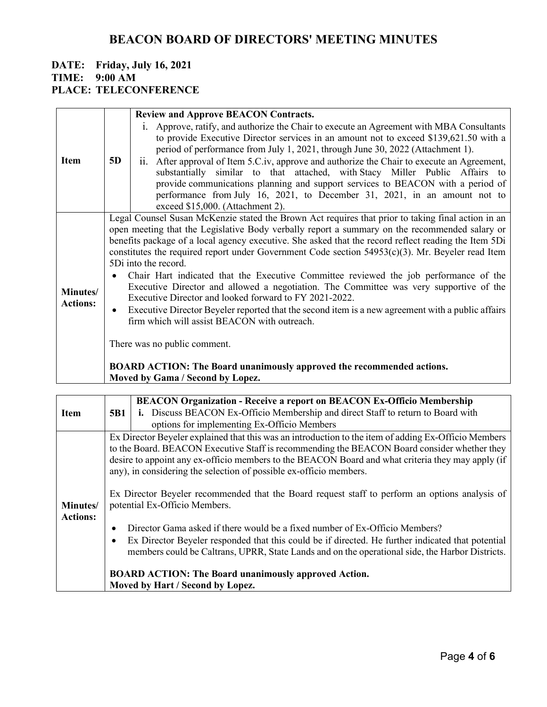|                             |                                                                                                      | <b>Review and Approve BEACON Contracts.</b>                                                                                                                  |  |  |
|-----------------------------|------------------------------------------------------------------------------------------------------|--------------------------------------------------------------------------------------------------------------------------------------------------------------|--|--|
|                             |                                                                                                      | i. Approve, ratify, and authorize the Chair to execute an Agreement with MBA Consultants                                                                     |  |  |
|                             |                                                                                                      | to provide Executive Director services in an amount not to exceed \$139,621.50 with a                                                                        |  |  |
|                             |                                                                                                      | period of performance from July 1, 2021, through June 30, 2022 (Attachment 1).                                                                               |  |  |
| <b>Item</b>                 | 5D                                                                                                   | ii. After approval of Item 5.C.iv, approve and authorize the Chair to execute an Agreement,                                                                  |  |  |
|                             |                                                                                                      | substantially similar to that attached, with Stacy Miller Public Affairs to                                                                                  |  |  |
|                             |                                                                                                      | provide communications planning and support services to BEACON with a period of<br>performance from July 16, 2021, to December 31, 2021, in an amount not to |  |  |
|                             |                                                                                                      | exceed \$15,000. (Attachment 2).                                                                                                                             |  |  |
|                             |                                                                                                      | Legal Counsel Susan McKenzie stated the Brown Act requires that prior to taking final action in an                                                           |  |  |
| Minutes/<br><b>Actions:</b> | open meeting that the Legislative Body verbally report a summary on the recommended salary or        |                                                                                                                                                              |  |  |
|                             | benefits package of a local agency executive. She asked that the record reflect reading the Item 5Di |                                                                                                                                                              |  |  |
|                             | constitutes the required report under Government Code section $54953(c)(3)$ . Mr. Beyeler read Item  |                                                                                                                                                              |  |  |
|                             | 5Di into the record.                                                                                 |                                                                                                                                                              |  |  |
|                             | $\bullet$                                                                                            | Chair Hart indicated that the Executive Committee reviewed the job performance of the                                                                        |  |  |
|                             |                                                                                                      | Executive Director and allowed a negotiation. The Committee was very supportive of the                                                                       |  |  |
|                             |                                                                                                      | Executive Director and looked forward to FY 2021-2022.                                                                                                       |  |  |
|                             | $\bullet$                                                                                            | Executive Director Beyeler reported that the second item is a new agreement with a public affairs                                                            |  |  |
|                             |                                                                                                      | firm which will assist BEACON with outreach.                                                                                                                 |  |  |
|                             |                                                                                                      |                                                                                                                                                              |  |  |
|                             | There was no public comment.                                                                         |                                                                                                                                                              |  |  |
|                             |                                                                                                      | <b>BOARD ACTION: The Board unanimously approved the recommended actions.</b>                                                                                 |  |  |
|                             |                                                                                                      | Moved by Gama / Second by Lopez.                                                                                                                             |  |  |

|                             |                                                                                                                                 | <b>BEACON Organization - Receive a report on BEACON Ex-Officio Membership</b>                                                                                                                                                                                                       |  |
|-----------------------------|---------------------------------------------------------------------------------------------------------------------------------|-------------------------------------------------------------------------------------------------------------------------------------------------------------------------------------------------------------------------------------------------------------------------------------|--|
| <b>Item</b>                 | <b>5B1</b>                                                                                                                      | i. Discuss BEACON Ex-Officio Membership and direct Staff to return to Board with                                                                                                                                                                                                    |  |
|                             |                                                                                                                                 | options for implementing Ex-Officio Members                                                                                                                                                                                                                                         |  |
|                             |                                                                                                                                 | Ex Director Beyeler explained that this was an introduction to the item of adding Ex-Officio Members<br>to the Board. BEACON Executive Staff is recommending the BEACON Board consider whether they                                                                                 |  |
|                             |                                                                                                                                 | desire to appoint any ex-officio members to the BEACON Board and what criteria they may apply (if<br>any), in considering the selection of possible ex-officio members.                                                                                                             |  |
| Minutes/<br><b>Actions:</b> | Ex Director Beyeler recommended that the Board request staff to perform an options analysis of<br>potential Ex-Officio Members. |                                                                                                                                                                                                                                                                                     |  |
|                             | $\bullet$                                                                                                                       | Director Gama asked if there would be a fixed number of Ex-Officio Members?<br>Ex Director Beyeler responded that this could be if directed. He further indicated that potential<br>members could be Caltrans, UPRR, State Lands and on the operational side, the Harbor Districts. |  |
|                             |                                                                                                                                 | <b>BOARD ACTION: The Board unanimously approved Action.</b><br>Moved by Hart / Second by Lopez.                                                                                                                                                                                     |  |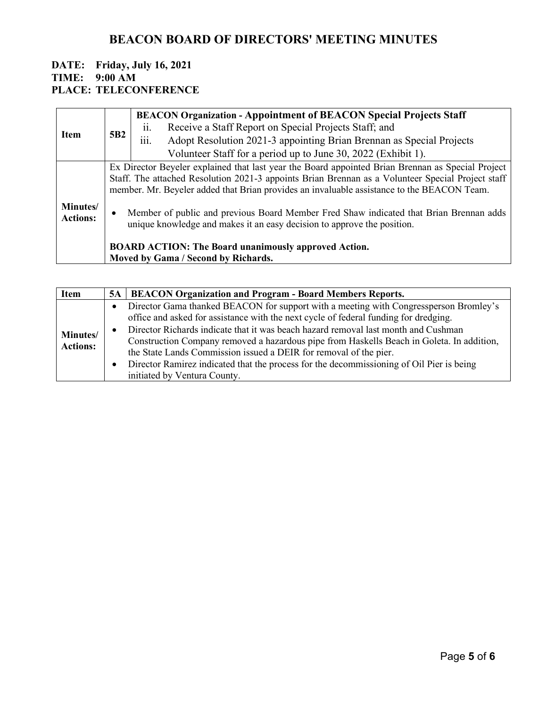|                                     |                 | <b>BEACON Organization - Appointment of BEACON Special Projects Staff</b>                                                                                         |
|-------------------------------------|-----------------|-------------------------------------------------------------------------------------------------------------------------------------------------------------------|
| <b>Item</b>                         |                 | Receive a Staff Report on Special Projects Staff; and<br>$\overline{11}$ .                                                                                        |
|                                     | 5B <sub>2</sub> | $\cdots$<br>Adopt Resolution 2021-3 appointing Brian Brennan as Special Projects<br>111.                                                                          |
|                                     |                 | Volunteer Staff for a period up to June 30, 2022 (Exhibit 1).                                                                                                     |
|                                     |                 | Ex Director Beyeler explained that last year the Board appointed Brian Brennan as Special Project                                                                 |
|                                     |                 | Staff. The attached Resolution 2021-3 appoints Brian Brennan as a Volunteer Special Project staff                                                                 |
|                                     |                 | member. Mr. Beyeler added that Brian provides an invaluable assistance to the BEACON Team.                                                                        |
| <b>Minutes</b> /<br><b>Actions:</b> | $\bullet$       | Member of public and previous Board Member Fred Shaw indicated that Brian Brennan adds<br>unique knowledge and makes it an easy decision to approve the position. |
|                                     |                 | <b>BOARD ACTION: The Board unanimously approved Action.</b>                                                                                                       |
|                                     |                 | Moved by Gama / Second by Richards.                                                                                                                               |

| <b>Item</b>                 |
|-----------------------------|
| Minutes/<br><b>Actions:</b> |